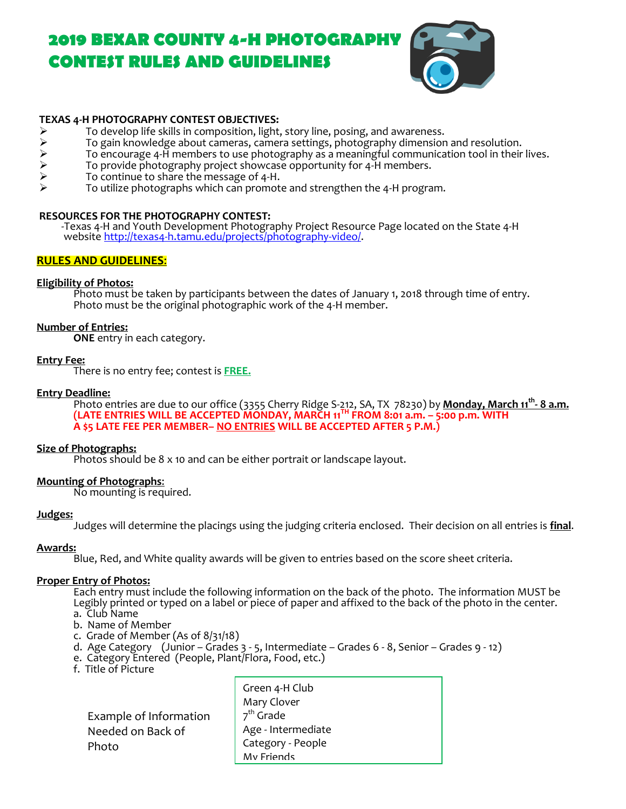# **2019 BEXAR COUNTY 4-H PHOTOGRAPHY CONTEST RULES AND GUIDELINES**



#### **TEXAS 4-H PHOTOGRAPHY CONTEST OBJECTIVES:**

- 
- To develop life skills in composition, light, story line, posing, and awareness.<br>
To gain knowledge about cameras, camera settings, photography dimensior<br>
To encourage 4-H members to use photography as a meaningful communi To gain knowledge about cameras, camera settings, photography dimension and resolution.
- To encourage 4-H members to use photography as a meaningful communication tool in their lives.
- To provide photography project showcase opportunity for 4-H members.
- To continue to share the message of 4-H.
- To utilize photographs which can promote and strengthen the 4-H program.

#### **RESOURCES FOR THE PHOTOGRAPHY CONTEST:**

 -Texas 4-H and Youth Development Photography Project Resource Page located on the State 4-H website [http://texas4-h.tamu.edu/projects/photography-video/.](http://texas4-h.tamu.edu/projects/photography-video/)

#### **RULES AND GUIDELINES**:

#### **Eligibility of Photos:**

Photo must be taken by participants between the dates of January 1, 2018 through time of entry. Photo must be the original photographic work of the 4-H member.

#### **Number of Entries:**

**ONE** entry in each category.

#### **Entry Fee:**

There is no entry fee; contest is **FREE.**

#### **Entry Deadline:**

Photo entries are due to our office (3355 Cherry Ridge S-212, SA, TX 78230) by **Monday, March 11 th - 8 a.m. (LATE ENTRIES WILL BE ACCEPTED MONDAY, MARCH 11 TH FROM 8:01 a.m. – 5:00 p.m. WITH A \$5 LATE FEE PER MEMBER– NO ENTRIES WILL BE ACCEPTED AFTER 5 P.M.)**

#### **Size of Photographs:**

Photos should be 8 x 10 and can be either portrait or landscape layout.

#### **Mounting of Photographs**:

No mounting is required.

#### **Judges:**

Judges will determine the placings using the judging criteria enclosed. Their decision on all entries is **final**.

#### **Awards:**

Blue, Red, and White quality awards will be given to entries based on the score sheet criteria.

#### **Proper Entry of Photos:**

Each entry must include the following information on the back of the photo. The information MUST be Legibly printed or typed on a label or piece of paper and affixed to the back of the photo in the center. a. Club Name

- b. Name of Member
- c. Grade of Member (As of 8/31/18)
- d. Age Category (Junior Grades 3 5, Intermediate Grades 6 8, Senior Grades 9 12)
- e. Category Entered (People, Plant/Flora, Food, etc.)
- f. Title of Picture

 Example of Information Needed on Back of Photo

Green 4-H Club Mary Clover 7<sup>th</sup> Grade Age - Intermediate Category - People My Friends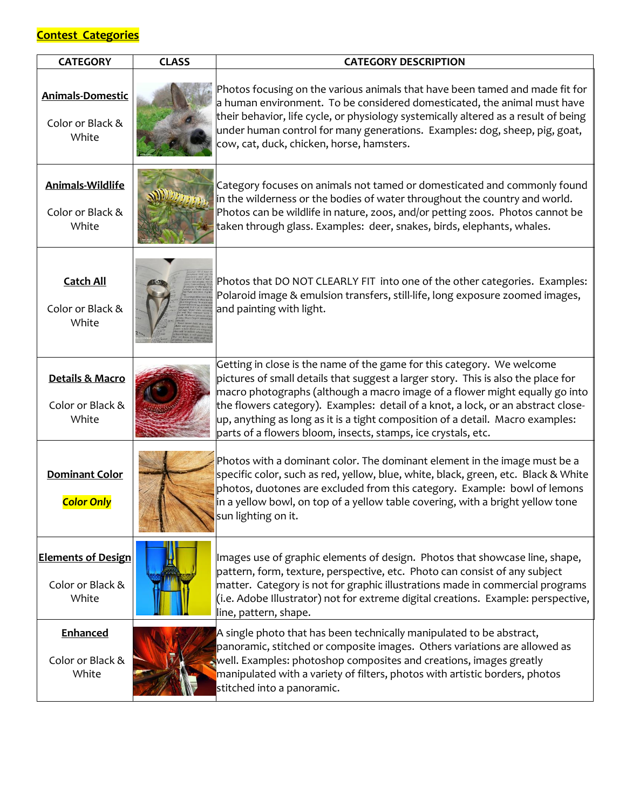### **Contest Categories**

| <b>CATEGORY</b>                                        | <b>CLASS</b> | <b>CATEGORY DESCRIPTION</b>                                                                                                                                                                                                                                                                                                                                                                                                                                                       |
|--------------------------------------------------------|--------------|-----------------------------------------------------------------------------------------------------------------------------------------------------------------------------------------------------------------------------------------------------------------------------------------------------------------------------------------------------------------------------------------------------------------------------------------------------------------------------------|
| <b>Animals-Domestic</b><br>Color or Black &<br>White   |              | Photos focusing on the various animals that have been tamed and made fit for<br>a human environment. To be considered domesticated, the animal must have<br>their behavior, life cycle, or physiology systemically altered as a result of being<br>under human control for many generations. Examples: dog, sheep, pig, goat,<br>cow, cat, duck, chicken, horse, hamsters.                                                                                                        |
| Animals-Wildlife<br>Color or Black &<br>White          |              | Category focuses on animals not tamed or domesticated and commonly found<br>in the wilderness or the bodies of water throughout the country and world.<br>Photos can be wildlife in nature, zoos, and/or petting zoos. Photos cannot be<br>taken through glass. Examples: deer, snakes, birds, elephants, whales.                                                                                                                                                                 |
| <b>Catch All</b><br>Color or Black &<br>White          |              | Photos that DO NOT CLEARLY FIT into one of the other categories. Examples:<br>Polaroid image & emulsion transfers, still-life, long exposure zoomed images,<br>and painting with light.                                                                                                                                                                                                                                                                                           |
| Details & Macro<br>Color or Black &<br>White           |              | Getting in close is the name of the game for this category. We welcome<br>pictures of small details that suggest a larger story. This is also the place for<br>macro photographs (although a macro image of a flower might equally go into<br>the flowers category). Examples: detail of a knot, a lock, or an abstract close-<br>up, anything as long as it is a tight composition of a detail. Macro examples:<br>parts of a flowers bloom, insects, stamps, ice crystals, etc. |
| <b>Dominant Color</b><br><b>Color Only</b>             |              | Photos with a dominant color. The dominant element in the image must be a<br>specific color, such as red, yellow, blue, white, black, green, etc.  Black & White<br>photos, duotones are excluded from this category. Example: bowl of lemons<br>in a yellow bowl, on top of a yellow table covering, with a bright yellow tone<br>sun lighting on it.                                                                                                                            |
| <b>Elements of Design</b><br>Color or Black &<br>White |              | Images use of graphic elements of design. Photos that showcase line, shape,<br>pattern, form, texture, perspective, etc. Photo can consist of any subject<br>matter. Category is not for graphic illustrations made in commercial programs<br>(i.e. Adobe Illustrator) not for extreme digital creations. Example: perspective,<br>line, pattern, shape.                                                                                                                          |
| Enhanced<br>Color or Black &<br>White                  |              | A single photo that has been technically manipulated to be abstract,<br>panoramic, stitched or composite images. Others variations are allowed as<br>well. Examples: photoshop composites and creations, images greatly<br>manipulated with a variety of filters, photos with artistic borders, photos<br>stitched into a panoramic.                                                                                                                                              |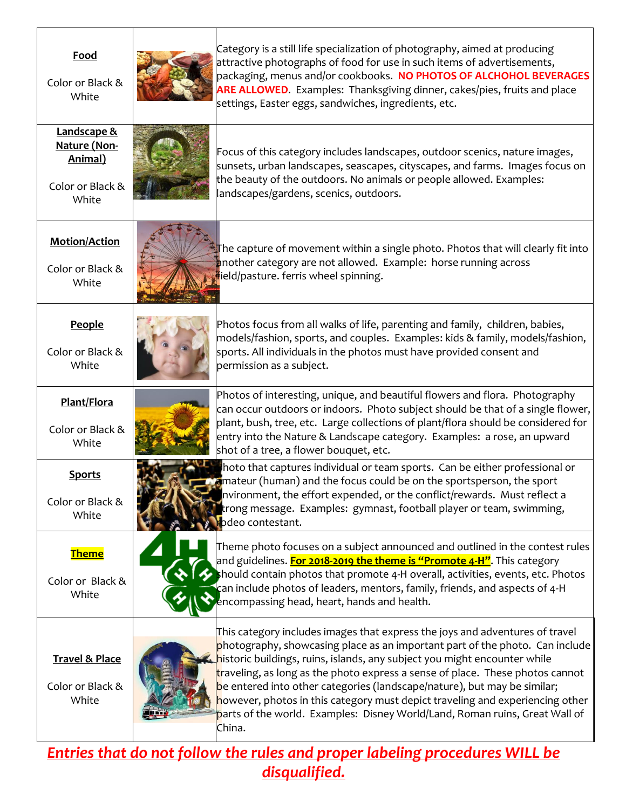| Food<br>Color or Black &<br>White                                   | Category is a still life specialization of photography, aimed at producing<br>attractive photographs of food for use in such items of advertisements,<br>packaging, menus and/or cookbooks. NO PHOTOS OF ALCHOHOL BEVERAGES<br>ARE ALLOWED. Examples: Thanksgiving dinner, cakes/pies, fruits and place<br>settings, Easter eggs, sandwiches, ingredients, etc.                                                                                                                                                                                                                  |
|---------------------------------------------------------------------|----------------------------------------------------------------------------------------------------------------------------------------------------------------------------------------------------------------------------------------------------------------------------------------------------------------------------------------------------------------------------------------------------------------------------------------------------------------------------------------------------------------------------------------------------------------------------------|
| Landscape &<br>Nature (Non-<br>Animal)<br>Color or Black &<br>White | Focus of this category includes landscapes, outdoor scenics, nature images,<br>sunsets, urban landscapes, seascapes, cityscapes, and farms. Images focus on<br>the beauty of the outdoors. No animals or people allowed. Examples:<br>landscapes/gardens, scenics, outdoors.                                                                                                                                                                                                                                                                                                     |
| <b>Motion/Action</b><br>Color or Black &<br>White                   | The capture of movement within a single photo. Photos that will clearly fit into<br>another category are not allowed. Example: horse running across<br>field/pasture. ferris wheel spinning.                                                                                                                                                                                                                                                                                                                                                                                     |
| People<br>Color or Black &<br>White                                 | Photos focus from all walks of life, parenting and family, children, babies,<br>models/fashion, sports, and couples. Examples: kids & family, models/fashion,<br>sports. All individuals in the photos must have provided consent and<br>permission as a subject.                                                                                                                                                                                                                                                                                                                |
| Plant/Flora<br>Color or Black &<br>White                            | Photos of interesting, unique, and beautiful flowers and flora. Photography<br>can occur outdoors or indoors. Photo subject should be that of a single flower,<br>plant, bush, tree, etc. Large collections of plant/flora should be considered for<br>entry into the Nature & Landscape category. Examples: a rose, an upward<br>shot of a tree, a flower bouquet, etc.                                                                                                                                                                                                         |
| <b>Sports</b><br>Color or Black &<br>White                          | hoto that captures individual or team sports. Can be either professional or<br>amateur (human) and the focus could be on the sportsperson, the sport<br>nvironment, the effort expended, or the conflict/rewards. Must reflect a<br>trong message. Examples: gymnast, football player or team, swimming,<br>pdeo contestant.                                                                                                                                                                                                                                                     |
| <b>Theme</b><br>Color or Black &<br>White                           | Theme photo focuses on a subject announced and outlined in the contest rules<br>and guidelines. <mark>For 2018-2019 the theme is "Promote 4-H"</mark> . This category<br>hould contain photos that promote 4-H overall, activities, events, etc. Photos<br>can include photos of leaders, mentors, family, friends, and aspects of 4-H<br>encompassing head, heart, hands and health.                                                                                                                                                                                            |
| <b>Travel &amp; Place</b><br>Color or Black &<br>White              | This category includes images that express the joys and adventures of travel<br>photography, showcasing place as an important part of the photo. Can include<br>historic buildings, ruins, islands, any subject you might encounter while<br>traveling, as long as the photo express a sense of place. These photos cannot<br>be entered into other categories (landscape/nature), but may be similar;<br>however, photos in this category must depict traveling and experiencing other<br>parts of the world. Examples: Disney World/Land, Roman ruins, Great Wall of<br>China. |

*Entries that do not follow the rules and proper labeling procedures WILL be disqualified.*